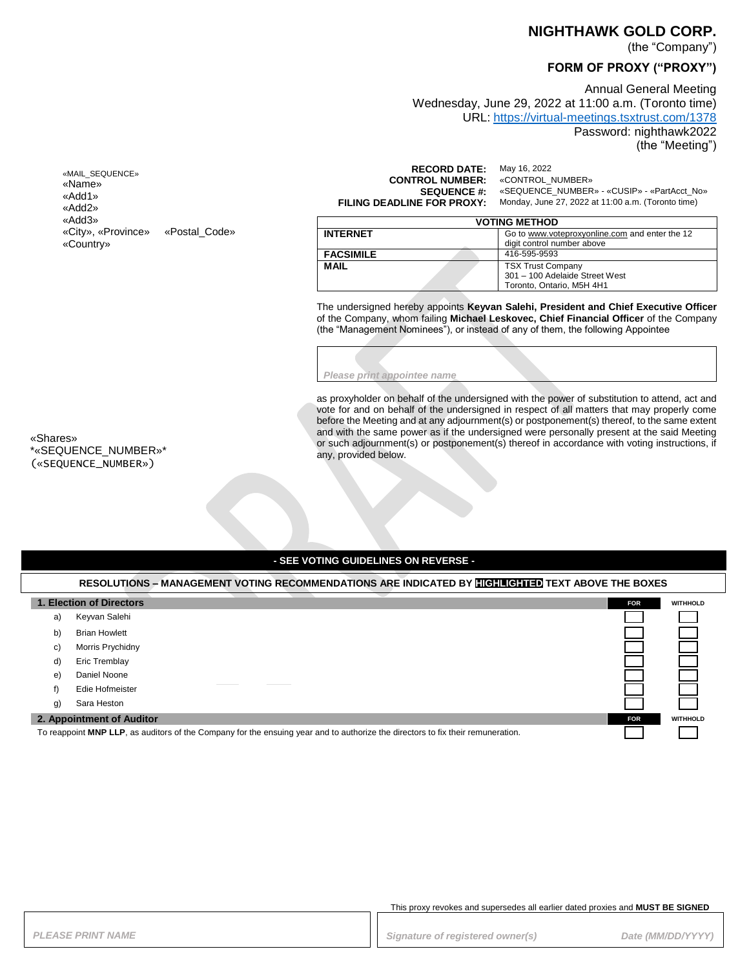#### **NIGHTHAWK GOLD CORP.**

(the "Company")

# **FORM OF PROXY ("PROXY")**

Annual General Meeting Wednesday, June 29, 2022 at 11:00 a.m. (Toronto time) URL: <https://virtual-meetings.tsxtrust.com/1378> Password: nighthawk2022

(the "Meeting")

«MAIL\_SEQUENCE» «Name» «Add1» «Add2» «Add3» «City», «Province» «Postal\_Code» «Country»

**RECORD DATE:** May 16, 2022<br>**TROL NUMBER:** «CONTROL\_NUMBER» **CONTROL NUMBER:**<br>SEQUENCE #: **SEQUENCE #:** «SEQUENCE\_NUMBER» - «CUSIP» - «PartAcct\_No»<br>**FILING DEADLINE FOR PROXY:** Monday, June 27, 2022 at 11:00 a.m. (Toronto time)

**FILING DEADLINE FOR PROXY:** Monday, June 27, 2022 at 11:00 a.m. (Toronto time)

| <b>VOTING METHOD</b> |                                                                                         |  |
|----------------------|-----------------------------------------------------------------------------------------|--|
| <b>INTERNET</b>      | Go to www.voteproxyonline.com and enter the 12<br>digit control number above            |  |
| <b>FACSIMILE</b>     | 416-595-9593                                                                            |  |
| <b>MAIL</b>          | <b>TSX Trust Company</b><br>301 - 100 Adelaide Street West<br>Toronto. Ontario. M5H 4H1 |  |

The undersigned hereby appoints **Keyvan Salehi, President and Chief Executive Officer** of the Company, whom failing **Michael Leskovec, Chief Financial Officer** of the Company (the "Management Nominees"), or instead of any of them, the following Appointee

*Please print appointee name*

as proxyholder on behalf of the undersigned with the power of substitution to attend, act and vote for and on behalf of the undersigned in respect of all matters that may properly come before the Meeting and at any adjournment(s) or postponement(s) thereof, to the same extent and with the same power as if the undersigned were personally present at the said Meeting or such adjournment(s) or postponement(s) thereof in accordance with voting instructions, if any, provided below.

«Shares» \*«SEQUENCE\_NUMBER»\* («SEQUENCE\_NUMBER»)

#### **- SEE VOTING GUIDELINES ON REVERSE -**

|                                                                                                                                 | RESOLUTIONS - MANAGEMENT VOTING RECOMMENDATIONS ARE INDICATED BY HIGHLIGHTED TEXT ABOVE THE BOXES |            |                 |
|---------------------------------------------------------------------------------------------------------------------------------|---------------------------------------------------------------------------------------------------|------------|-----------------|
| 1. Election of Directors                                                                                                        |                                                                                                   | <b>FOR</b> | <b>WITHHOLD</b> |
| a)                                                                                                                              | Keyvan Salehi                                                                                     |            |                 |
| b)                                                                                                                              | <b>Brian Howlett</b>                                                                              |            |                 |
| C)                                                                                                                              | Morris Prychidny                                                                                  |            |                 |
| d)                                                                                                                              | Eric Tremblay                                                                                     |            |                 |
| e)                                                                                                                              | Daniel Noone                                                                                      |            |                 |
|                                                                                                                                 | Edie Hofmeister                                                                                   |            |                 |
| g)                                                                                                                              | Sara Heston                                                                                       |            |                 |
|                                                                                                                                 | 2. Appointment of Auditor                                                                         | <b>FOR</b> | <b>WITHHOLD</b> |
| To reappoint MNP LLP, as auditors of the Company for the ensuing year and to authorize the directors to fix their remuneration. |                                                                                                   |            |                 |

This proxy revokes and supersedes all earlier dated proxies and **MUST BE SIGNED**